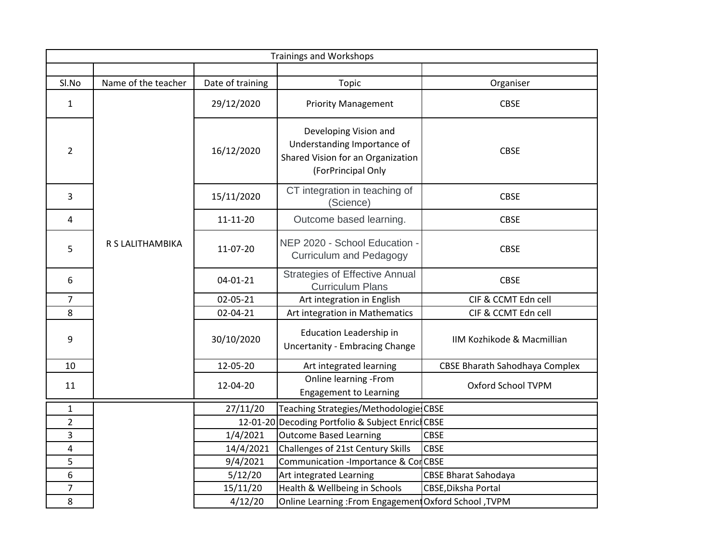|                | <b>Trainings and Workshops</b> |                  |                                                                                                                 |                                       |  |
|----------------|--------------------------------|------------------|-----------------------------------------------------------------------------------------------------------------|---------------------------------------|--|
|                |                                |                  |                                                                                                                 |                                       |  |
| Sl.No          | Name of the teacher            | Date of training | Topic                                                                                                           | Organiser                             |  |
| $\mathbf{1}$   |                                | 29/12/2020       | <b>Priority Management</b>                                                                                      | <b>CBSE</b>                           |  |
| $\overline{2}$ |                                | 16/12/2020       | Developing Vision and<br>Understanding Importance of<br>Shared Vision for an Organization<br>(ForPrincipal Only | <b>CBSE</b>                           |  |
| 3              |                                | 15/11/2020       | CT integration in teaching of<br>(Science)                                                                      | <b>CBSE</b>                           |  |
| 4              |                                | $11 - 11 - 20$   | Outcome based learning.                                                                                         | <b>CBSE</b>                           |  |
| 5              | R S LALITHAMBIKA               | 11-07-20         | NEP 2020 - School Education -<br><b>Curriculum and Pedagogy</b>                                                 | <b>CBSE</b>                           |  |
| 6              |                                | 04-01-21         | <b>Strategies of Effective Annual</b><br><b>Curriculum Plans</b>                                                | <b>CBSE</b>                           |  |
| 7              |                                | 02-05-21         | Art integration in English                                                                                      | CIF & CCMT Edn cell                   |  |
| 8              |                                | 02-04-21         | Art integration in Mathematics                                                                                  | CIF & CCMT Edn cell                   |  |
| 9              |                                | 30/10/2020       | Education Leadership in<br><b>Uncertanity - Embracing Change</b>                                                | IIM Kozhikode & Macmillian            |  |
| 10             |                                | 12-05-20         | Art integrated learning                                                                                         | <b>CBSE Bharath Sahodhaya Complex</b> |  |
| 11             |                                | 12-04-20         | Online learning -From<br><b>Engagement to Learning</b>                                                          | Oxford School TVPM                    |  |
| $\mathbf{1}$   |                                | 27/11/20         | Teaching Strategies/Methodologie CBSE                                                                           |                                       |  |
| $\overline{2}$ |                                |                  | 12-01-20 Decoding Portfolio & Subject Enric CBSE                                                                |                                       |  |
| 3              |                                | 1/4/2021         | Outcome Based Learning                                                                                          | <b>CBSE</b>                           |  |
| 4              |                                | 14/4/2021        | Challenges of 21st Century Skills                                                                               | <b>CBSE</b>                           |  |
| 5              |                                | 9/4/2021         | Communication - Importance & CorCBSE                                                                            |                                       |  |
| 6              |                                | 5/12/20          | Art integrated Learning                                                                                         | <b>CBSE Bharat Sahodaya</b>           |  |
| $\overline{7}$ |                                | 15/11/20         | Health & Wellbeing in Schools                                                                                   | CBSE, Diksha Portal                   |  |
| 8              |                                | 4/12/20          | Online Learning: From Engagement Oxford School, TVPM                                                            |                                       |  |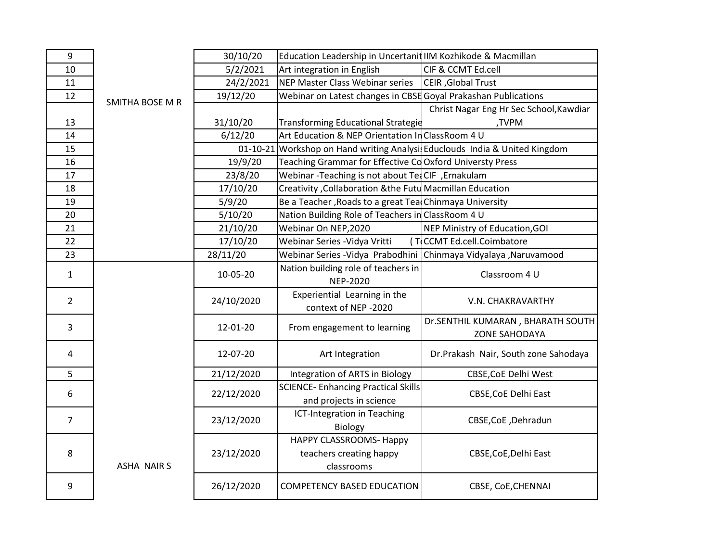| $9\,$          |                   | 30/10/20       | Education Leadership in Uncertanit IIM Kozhikode & Macmillan         |                                                                    |
|----------------|-------------------|----------------|----------------------------------------------------------------------|--------------------------------------------------------------------|
| 10             |                   | 5/2/2021       | Art integration in English                                           | CIF & CCMT Ed.cell                                                 |
| 11             |                   | 24/2/2021      | NEP Master Class Webinar series                                      | CEIR, Global Trust                                                 |
| 12             |                   | 19/12/20       | Webinar on Latest changes in CBSE Goyal Prakashan Publications       |                                                                    |
|                | SMITHA BOSE M R   |                |                                                                      | Christ Nagar Eng Hr Sec School, Kawdiar                            |
| 13             |                   | 31/10/20       | <b>Transforming Educational Strategie</b>                            | ,TVPM                                                              |
| 14             |                   | 6/12/20        | Art Education & NEP Orientation In ClassRoom 4 U                     |                                                                    |
| 15             |                   | $01 - 10 - 21$ |                                                                      | Workshop on Hand writing Analysis Educlouds India & United Kingdom |
| 16             |                   | 19/9/20        | Teaching Grammar for Effective CoOxford Universty Press              |                                                                    |
| 17             |                   | 23/8/20        | Webinar-Teaching is not about TeaCIF, Ernakulam                      |                                                                    |
| 18             |                   | 17/10/20       | Creativity , Collaboration & the Futu Macmillan Education            |                                                                    |
| 19             |                   | 5/9/20         | Be a Teacher, Roads to a great Tea Chinmaya University               |                                                                    |
| 20             |                   | 5/10/20        | Nation Building Role of Teachers in ClassRoom 4 U                    |                                                                    |
| 21             |                   | 21/10/20       | Webinar On NEP, 2020                                                 | NEP Ministry of Education, GOI                                     |
| 22             |                   | 17/10/20       | Webinar Series - Vidya Vritti                                        | (TCCMT Ed.cell.Coimbatore                                          |
| 23             |                   | 28/11/20       |                                                                      | Webinar Series -Vidya Prabodhini Chinmaya Vidyalaya ,Naruvamood    |
| $\mathbf{1}$   |                   | 10-05-20       | Nation building role of teachers in<br><b>NEP-2020</b>               | Classroom 4 U                                                      |
| $\overline{2}$ |                   | 24/10/2020     | Experiential Learning in the<br>context of NEP -2020                 | V.N. CHAKRAVARTHY                                                  |
| 3              |                   | 12-01-20       | From engagement to learning                                          | Dr.SENTHIL KUMARAN, BHARATH SOUTH<br><b>ZONE SAHODAYA</b>          |
| 4              |                   | 12-07-20       | Art Integration                                                      | Dr.Prakash Nair, South zone Sahodaya                               |
| 5              |                   | 21/12/2020     | Integration of ARTS in Biology                                       | <b>CBSE, CoE Delhi West</b>                                        |
| 6              |                   | 22/12/2020     | <b>SCIENCE-Enhancing Practical Skills</b><br>and projects in science | <b>CBSE, CoE Delhi East</b>                                        |
| $\overline{7}$ |                   | 23/12/2020     | ICT-Integration in Teaching<br>Biology                               | CBSE, CoE, Dehradun                                                |
| 8              | <b>ASHA NAIRS</b> | 23/12/2020     | HAPPY CLASSROOMS- Happy<br>teachers creating happy<br>classrooms     | CBSE, CoE, Delhi East                                              |
| 9              |                   | 26/12/2020     | <b>COMPETENCY BASED EDUCATION</b>                                    | CBSE, CoE, CHENNAI                                                 |
|                |                   |                |                                                                      |                                                                    |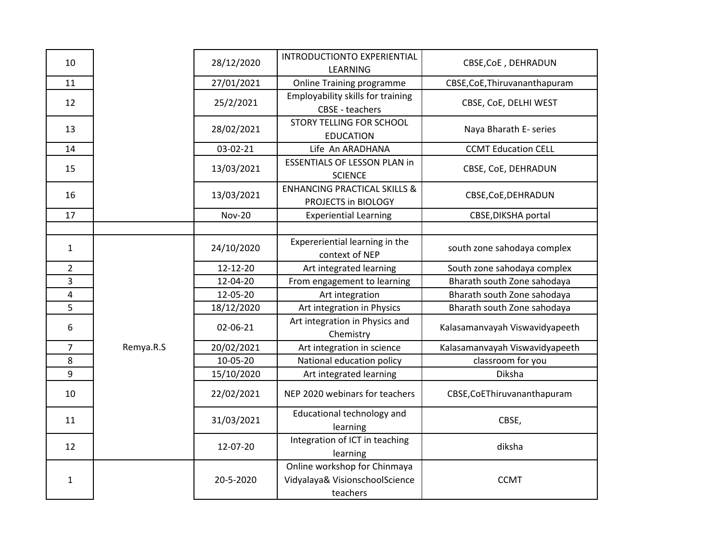| 10             |           | 28/12/2020    | INTRODUCTIONTO EXPERIENTIAL<br>LEARNING                                    | CBSE, CoE, DEHRADUN            |
|----------------|-----------|---------------|----------------------------------------------------------------------------|--------------------------------|
| 11             |           | 27/01/2021    | <b>Online Training programme</b>                                           | CBSE, CoE, Thiruvananthapuram  |
| 12             |           | 25/2/2021     | Employability skills for training<br><b>CBSE - teachers</b>                | CBSE, CoE, DELHI WEST          |
| 13             |           | 28/02/2021    | STORY TELLING FOR SCHOOL<br><b>EDUCATION</b>                               | Naya Bharath E- series         |
| 14             |           | 03-02-21      | Life An ARADHANA                                                           | <b>CCMT Education CELL</b>     |
| 15             |           | 13/03/2021    | <b>ESSENTIALS OF LESSON PLAN in</b><br><b>SCIENCE</b>                      | CBSE, CoE, DEHRADUN            |
| 16             |           | 13/03/2021    | <b>ENHANCING PRACTICAL SKILLS &amp;</b><br>PROJECTS in BIOLOGY             | CBSE, CoE, DEHRADUN            |
| 17             |           | <b>Nov-20</b> | <b>Experiential Learning</b>                                               | CBSE, DIKSHA portal            |
|                |           |               |                                                                            |                                |
| $\mathbf{1}$   |           | 24/10/2020    | Expereriential learning in the<br>context of NEP                           | south zone sahodaya complex    |
| $\overline{2}$ |           | 12-12-20      | Art integrated learning                                                    | South zone sahodaya complex    |
| 3              |           | 12-04-20      | From engagement to learning                                                | Bharath south Zone sahodaya    |
| 4              |           | 12-05-20      | Art integration                                                            | Bharath south Zone sahodaya    |
| 5              |           | 18/12/2020    | Art integration in Physics                                                 | Bharath south Zone sahodaya    |
| 6              |           | 02-06-21      | Art integration in Physics and<br>Chemistry                                | Kalasamanvayah Viswavidyapeeth |
| $\overline{7}$ | Remya.R.S | 20/02/2021    | Art integration in science                                                 | Kalasamanvayah Viswavidyapeeth |
| 8              |           | 10-05-20      | National education policy                                                  | classroom for you              |
| 9              |           | 15/10/2020    | Art integrated learning                                                    | Diksha                         |
| 10             |           | 22/02/2021    | NEP 2020 webinars for teachers                                             | CBSE, CoEThiruvananthapuram    |
| 11             |           | 31/03/2021    | Educational technology and<br>learning                                     | CBSE,                          |
| 12             |           | 12-07-20      | Integration of ICT in teaching<br>learning                                 | diksha                         |
| $\mathbf{1}$   |           | 20-5-2020     | Online workshop for Chinmaya<br>Vidyalaya& VisionschoolScience<br>teachers | <b>CCMT</b>                    |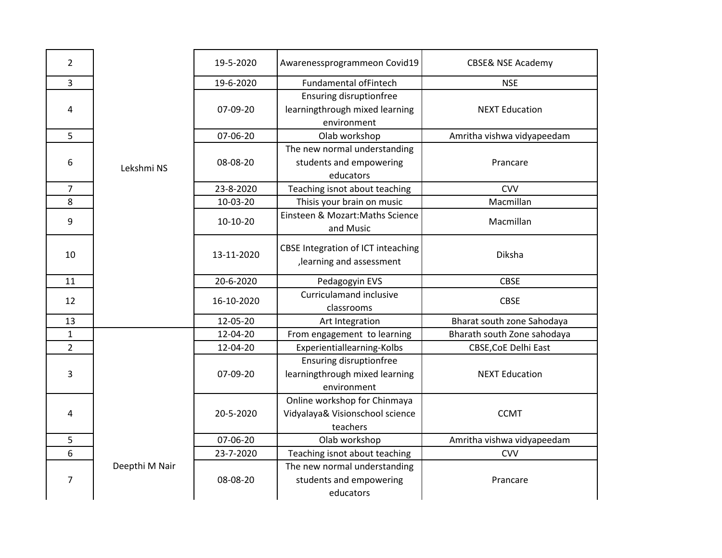| $\overline{2}$  |                | 19-5-2020  | Awarenessprogrammeon Covid19                                                    | <b>CBSE&amp; NSE Academy</b> |
|-----------------|----------------|------------|---------------------------------------------------------------------------------|------------------------------|
| $\overline{3}$  |                | 19-6-2020  | <b>Fundamental ofFintech</b>                                                    | <b>NSE</b>                   |
| 4               |                | 07-09-20   | <b>Ensuring disruptionfree</b><br>learningthrough mixed learning<br>environment | <b>NEXT Education</b>        |
| 5               |                | 07-06-20   | Olab workshop                                                                   | Amritha vishwa vidyapeedam   |
| 6               | Lekshmi NS     | 08-08-20   | The new normal understanding<br>students and empowering<br>educators            | Prancare                     |
| $\overline{7}$  |                | 23-8-2020  | Teaching isnot about teaching                                                   | <b>CVV</b>                   |
| $\overline{8}$  |                | 10-03-20   | Thisis your brain on music                                                      | Macmillan                    |
| 9               |                | 10-10-20   | Einsteen & Mozart: Maths Science<br>and Music                                   | Macmillan                    |
| 10              |                | 13-11-2020 | CBSE Integration of ICT inteaching<br>, learning and assessment                 | Diksha                       |
| 11              |                | 20-6-2020  | Pedagogyin EVS                                                                  | <b>CBSE</b>                  |
| 12              |                | 16-10-2020 | <b>Curriculamand inclusive</b><br>classrooms                                    | <b>CBSE</b>                  |
|                 |                | 12-05-20   | Art Integration                                                                 | Bharat south zone Sahodaya   |
| $\frac{13}{1}$  |                | 12-04-20   | From engagement to learning                                                     | Bharath south Zone sahodaya  |
|                 |                | 12-04-20   | Experientiallearning-Kolbs                                                      | CBSE, CoE Delhi East         |
| 3               |                | 07-09-20   | <b>Ensuring disruptionfree</b><br>learningthrough mixed learning<br>environment | <b>NEXT Education</b>        |
| 4               |                | 20-5-2020  | Online workshop for Chinmaya<br>Vidyalaya& Visionschool science<br>teachers     | <b>CCMT</b>                  |
| 5               |                | 07-06-20   | Olab workshop                                                                   | Amritha vishwa vidyapeedam   |
| $6\phantom{1}6$ |                | 23-7-2020  | Teaching isnot about teaching                                                   | <b>CVV</b>                   |
| 7               | Deepthi M Nair | 08-08-20   | The new normal understanding<br>students and empowering<br>educators            | Prancare                     |
|                 |                |            |                                                                                 |                              |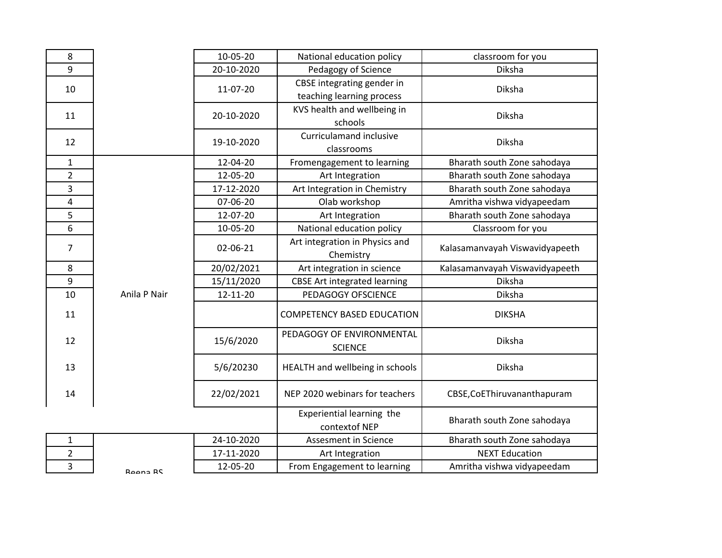| 8              |              | 10-05-20   | National education policy                               | classroom for you              |
|----------------|--------------|------------|---------------------------------------------------------|--------------------------------|
| 9              |              | 20-10-2020 | Pedagogy of Science                                     | Diksha                         |
| 10             |              | 11-07-20   | CBSE integrating gender in<br>teaching learning process | Diksha                         |
| 11             |              | 20-10-2020 | KVS health and wellbeing in<br>schools                  | Diksha                         |
| 12             |              | 19-10-2020 | Curriculamand inclusive<br>classrooms                   | Diksha                         |
| $\mathbf{1}$   |              | 12-04-20   | Fromengagement to learning                              | Bharath south Zone sahodaya    |
| $\overline{2}$ |              | 12-05-20   | Art Integration                                         | Bharath south Zone sahodaya    |
| 3              |              | 17-12-2020 | Art Integration in Chemistry                            | Bharath south Zone sahodaya    |
| 4              |              | 07-06-20   | Olab workshop                                           | Amritha vishwa vidyapeedam     |
| 5              |              | 12-07-20   | Art Integration                                         | Bharath south Zone sahodaya    |
| 6              |              | 10-05-20   | National education policy                               | Classroom for you              |
| $\overline{7}$ |              | 02-06-21   | Art integration in Physics and<br>Chemistry             | Kalasamanvayah Viswavidyapeeth |
| 8              |              | 20/02/2021 | Art integration in science                              | Kalasamanvayah Viswavidyapeeth |
| 9              |              | 15/11/2020 | <b>CBSE Art integrated learning</b>                     | Diksha                         |
| 10             | Anila P Nair | 12-11-20   | PEDAGOGY OFSCIENCE                                      | Diksha                         |
| 11             |              |            | <b>COMPETENCY BASED EDUCATION</b>                       | <b>DIKSHA</b>                  |
| 12             |              | 15/6/2020  | PEDAGOGY OF ENVIRONMENTAL<br><b>SCIENCE</b>             | Diksha                         |
| 13             |              | 5/6/20230  | HEALTH and wellbeing in schools                         | Diksha                         |
| 14             |              | 22/02/2021 | NEP 2020 webinars for teachers                          | CBSE, CoEThiruvananthapuram    |
|                |              |            | Experiential learning the<br>contextof NEP              | Bharath south Zone sahodaya    |
| $\mathbf 1$    |              | 24-10-2020 | Assesment in Science                                    | Bharath south Zone sahodaya    |
| 2              |              | 17-11-2020 | Art Integration                                         | <b>NEXT Education</b>          |
| 3              | Roons RC     | 12-05-20   | From Engagement to learning                             | Amritha vishwa vidyapeedam     |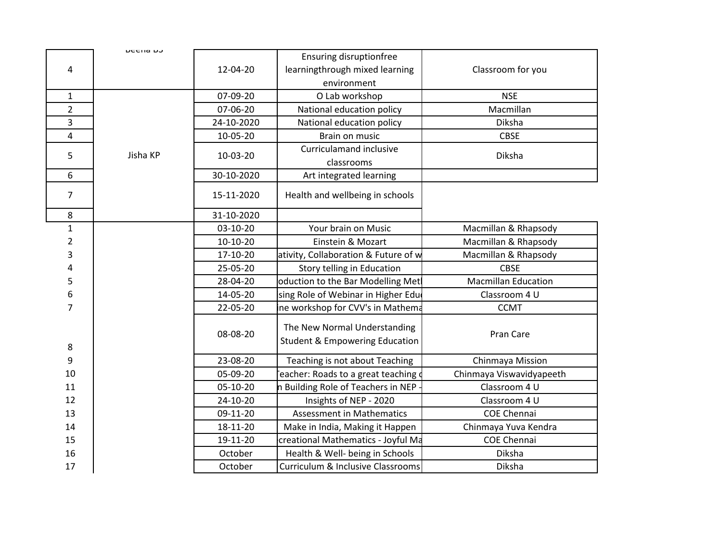| 4              | <b>טרבוום</b> ה | 12-04-20   | <b>Ensuring disruptionfree</b><br>learningthrough mixed learning          | Classroom for you          |
|----------------|-----------------|------------|---------------------------------------------------------------------------|----------------------------|
|                |                 |            | environment                                                               |                            |
| $\mathbf{1}$   |                 | 07-09-20   | O Lab workshop                                                            | <b>NSE</b>                 |
| $\overline{2}$ |                 | 07-06-20   | National education policy                                                 | Macmillan                  |
| 3              |                 | 24-10-2020 | National education policy                                                 | Diksha                     |
| 4              |                 | 10-05-20   | Brain on music                                                            | <b>CBSE</b>                |
| 5              | Jisha KP        | 10-03-20   | <b>Curriculamand inclusive</b><br>classrooms                              | Diksha                     |
| 6              |                 | 30-10-2020 | Art integrated learning                                                   |                            |
| 7              |                 | 15-11-2020 | Health and wellbeing in schools                                           |                            |
| 8              |                 | 31-10-2020 |                                                                           |                            |
| $\mathbf 1$    |                 | 03-10-20   | Your brain on Music                                                       | Macmillan & Rhapsody       |
| 2              |                 | 10-10-20   | Einstein & Mozart                                                         | Macmillan & Rhapsody       |
| 3              |                 | 17-10-20   | ativity, Collaboration & Future of w                                      | Macmillan & Rhapsody       |
| 4              |                 | 25-05-20   | Story telling in Education                                                | <b>CBSE</b>                |
| 5              |                 | 28-04-20   | oduction to the Bar Modelling Met                                         | <b>Macmillan Education</b> |
| 6              |                 | 14-05-20   | sing Role of Webinar in Higher Edu                                        | Classroom 4 U              |
| $\overline{7}$ |                 | 22-05-20   | ine workshop for CVV's in Mathema                                         | <b>CCMT</b>                |
| 8              |                 | 08-08-20   | The New Normal Understanding<br><b>Student &amp; Empowering Education</b> | Pran Care                  |
| 9              |                 | 23-08-20   | Teaching is not about Teaching                                            | Chinmaya Mission           |
| 10             |                 | 05-09-20   | eacher: Roads to a great teaching d                                       | Chinmaya Viswavidyapeeth   |
| 11             |                 | 05-10-20   | n Building Role of Teachers in NEP                                        | Classroom 4 U              |
| 12             |                 | 24-10-20   | Insights of NEP - 2020                                                    | Classroom 4 U              |
| 13             |                 | 09-11-20   | Assessment in Mathematics                                                 | <b>COE Chennai</b>         |
| 14             |                 | 18-11-20   | Make in India, Making it Happen                                           | Chinmaya Yuva Kendra       |
| 15             |                 | 19-11-20   | creational Mathematics - Joyful Ma                                        | <b>COE Chennai</b>         |
| 16             |                 | October    | Health & Well- being in Schools                                           | Diksha                     |
| 17             |                 | October    | Curriculum & Inclusive Classrooms                                         | Diksha                     |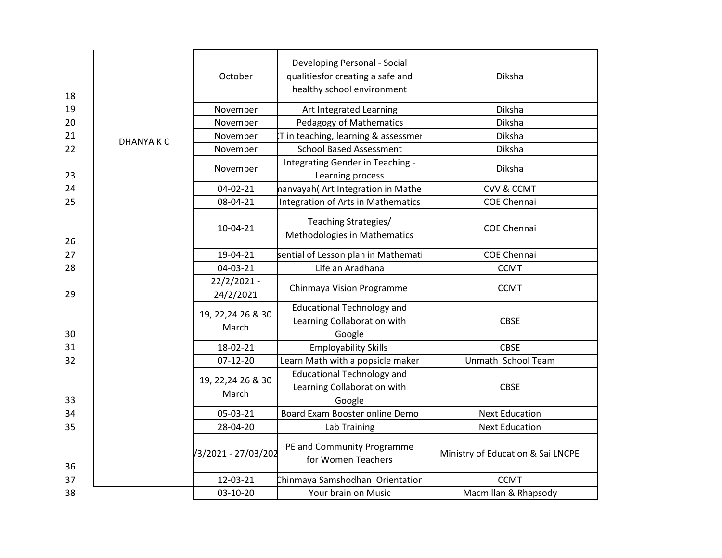| 18 |                 | October                     | Developing Personal - Social<br>qualitiesfor creating a safe and<br>healthy school environment | Diksha                            |
|----|-----------------|-----------------------------|------------------------------------------------------------------------------------------------|-----------------------------------|
| 19 |                 | November                    | Art Integrated Learning                                                                        | Diksha                            |
| 20 |                 | November                    | Pedagogy of Mathematics                                                                        | Diksha                            |
| 21 | <b>DHANYAKC</b> | November                    | T in teaching, learning & assessmer                                                            | Diksha                            |
| 22 |                 | November                    | <b>School Based Assessment</b>                                                                 | Diksha                            |
| 23 |                 | November                    | Integrating Gender in Teaching -<br>Learning process                                           | Diksha                            |
| 24 |                 | $04 - 02 - 21$              | nanvayah(Art Integration in Mathe                                                              | <b>CVV &amp; CCMT</b>             |
| 25 |                 | 08-04-21                    | Integration of Arts in Mathematics                                                             | <b>COE Chennai</b>                |
| 26 |                 | 10-04-21                    | Teaching Strategies/<br>Methodologies in Mathematics                                           | <b>COE Chennai</b>                |
| 27 |                 | 19-04-21                    | sential of Lesson plan in Mathemat                                                             | <b>COE Chennai</b>                |
| 28 |                 | 04-03-21                    | Life an Aradhana                                                                               | <b>CCMT</b>                       |
| 29 |                 | 22/2/2021 -<br>24/2/2021    | Chinmaya Vision Programme                                                                      | <b>CCMT</b>                       |
| 30 |                 | 19, 22, 24 26 & 30<br>March | <b>Educational Technology and</b><br>Learning Collaboration with<br>Google                     | <b>CBSE</b>                       |
| 31 |                 | 18-02-21                    | <b>Employability Skills</b>                                                                    | <b>CBSE</b>                       |
| 32 |                 | 07-12-20                    | Learn Math with a popsicle maker                                                               | Unmath School Team                |
| 33 |                 | 19, 22, 24 26 & 30<br>March | <b>Educational Technology and</b><br>Learning Collaboration with<br>Google                     | <b>CBSE</b>                       |
| 34 |                 | 05-03-21                    | Board Exam Booster online Demo                                                                 | <b>Next Education</b>             |
| 35 |                 | 28-04-20                    | Lab Training                                                                                   | <b>Next Education</b>             |
| 36 |                 | /3/2021 - 27/03/202         | PE and Community Programme<br>for Women Teachers                                               | Ministry of Education & Sai LNCPE |
| 37 |                 | 12-03-21                    | Chinmaya Samshodhan Orientatior                                                                | <b>CCMT</b>                       |
| 38 |                 | 03-10-20                    | Your brain on Music                                                                            | Macmillan & Rhapsody              |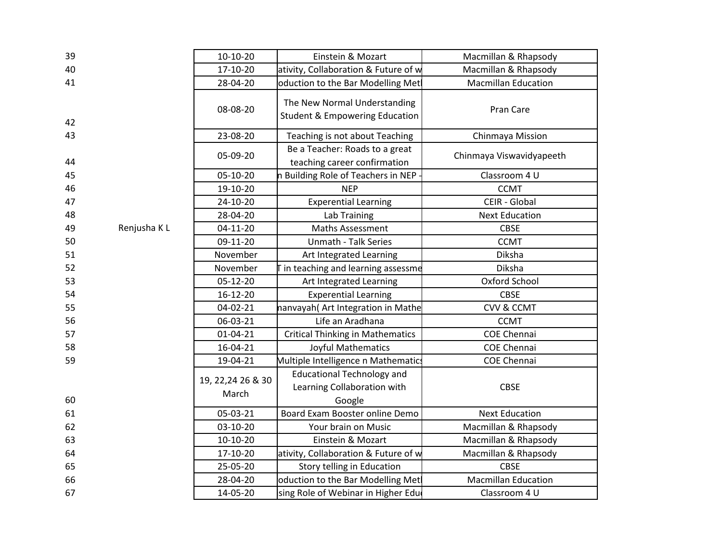| 39 |             | 10-10-20                    | Einstein & Mozart                                                         | Macmillan & Rhapsody       |
|----|-------------|-----------------------------|---------------------------------------------------------------------------|----------------------------|
| 40 |             | 17-10-20                    | ativity, Collaboration & Future of w                                      | Macmillan & Rhapsody       |
| 41 |             | 28-04-20                    | oduction to the Bar Modelling Met                                         | <b>Macmillan Education</b> |
| 42 |             | 08-08-20                    | The New Normal Understanding<br><b>Student &amp; Empowering Education</b> | Pran Care                  |
| 43 |             | 23-08-20                    | Teaching is not about Teaching                                            | Chinmaya Mission           |
| 44 |             | 05-09-20                    | Be a Teacher: Roads to a great<br>teaching career confirmation            | Chinmaya Viswavidyapeeth   |
| 45 |             | 05-10-20                    | n Building Role of Teachers in NEP                                        | Classroom 4 U              |
| 46 |             | 19-10-20                    | <b>NEP</b>                                                                | <b>CCMT</b>                |
| 47 |             | 24-10-20                    | <b>Experential Learning</b>                                               | CEIR - Global              |
| 48 |             | 28-04-20                    | Lab Training                                                              | <b>Next Education</b>      |
| 49 | Renjusha KL | 04-11-20                    | <b>Maths Assessment</b>                                                   | <b>CBSE</b>                |
| 50 |             | 09-11-20                    | Unmath - Talk Series                                                      | <b>CCMT</b>                |
| 51 |             | November                    | Art Integrated Learning                                                   | Diksha                     |
| 52 |             | November                    | T in teaching and learning assessme                                       | Diksha                     |
| 53 |             | 05-12-20                    | Art Integrated Learning                                                   | Oxford School              |
| 54 |             | 16-12-20                    | <b>Experential Learning</b>                                               | <b>CBSE</b>                |
| 55 |             | $04 - 02 - 21$              | nanvayah(Art Integration in Mathe                                         | <b>CVV &amp; CCMT</b>      |
| 56 |             | 06-03-21                    | Life an Aradhana                                                          | <b>CCMT</b>                |
| 57 |             | $01 - 04 - 21$              | <b>Critical Thinking in Mathematics</b>                                   | <b>COE Chennai</b>         |
| 58 |             | 16-04-21                    | Joyful Mathematics                                                        | <b>COE Chennai</b>         |
| 59 |             | 19-04-21                    | Multiple Intelligence n Mathematics                                       | <b>COE Chennai</b>         |
|    |             | 19, 22, 24 26 & 30<br>March | <b>Educational Technology and</b><br>Learning Collaboration with          | <b>CBSE</b>                |
| 60 |             |                             | Google                                                                    |                            |
| 61 |             | 05-03-21                    | Board Exam Booster online Demo                                            | <b>Next Education</b>      |
| 62 |             | 03-10-20                    | Your brain on Music                                                       | Macmillan & Rhapsody       |
| 63 |             | 10-10-20                    | Einstein & Mozart                                                         | Macmillan & Rhapsody       |
| 64 |             | 17-10-20                    | ativity, Collaboration & Future of w                                      | Macmillan & Rhapsody       |
| 65 |             | 25-05-20                    | Story telling in Education                                                | <b>CBSE</b>                |
| 66 |             | 28-04-20                    | oduction to the Bar Modelling Met                                         | <b>Macmillan Education</b> |
| 67 |             | 14-05-20                    | sing Role of Webinar in Higher Edu                                        | Classroom 4 U              |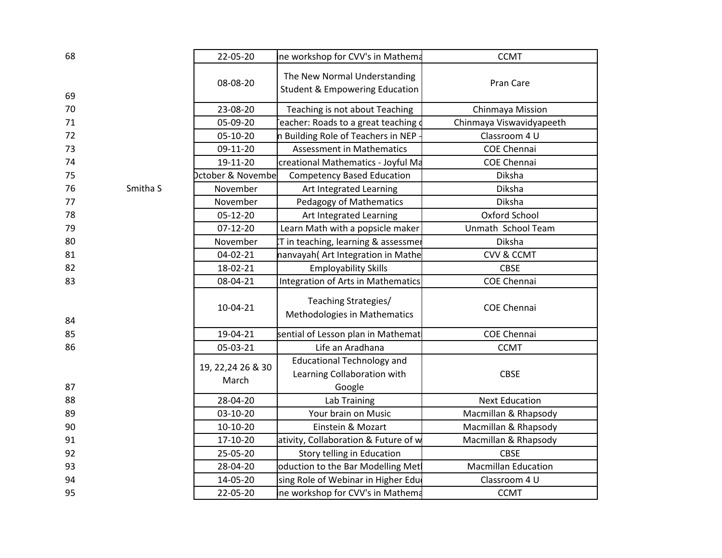| 68 |                     | 22-05-20                     | ine workshop for CVV's in Mathema                                          | <b>CCMT</b>                |
|----|---------------------|------------------------------|----------------------------------------------------------------------------|----------------------------|
| 69 |                     | 08-08-20                     | The New Normal Understanding<br><b>Student &amp; Empowering Education</b>  | Pran Care                  |
| 70 |                     | 23-08-20                     | Teaching is not about Teaching                                             | Chinmaya Mission           |
| 71 |                     | 05-09-20                     | eacher: Roads to a great teaching of                                       | Chinmaya Viswavidyapeeth   |
| 72 |                     | 05-10-20                     | n Building Role of Teachers in NEP                                         | Classroom 4 U              |
| 73 |                     | 09-11-20                     | <b>Assessment in Mathematics</b>                                           | <b>COE Chennai</b>         |
| 74 |                     | 19-11-20                     | creational Mathematics - Joyful Ma                                         | <b>COE Chennai</b>         |
| 75 |                     | <b>Dctober &amp; Novembe</b> | <b>Competency Based Education</b>                                          | Diksha                     |
| 76 | Smitha <sub>S</sub> | November                     | Art Integrated Learning                                                    | Diksha                     |
| 77 |                     | November                     | Pedagogy of Mathematics                                                    | Diksha                     |
| 78 |                     | 05-12-20                     | Art Integrated Learning                                                    | Oxford School              |
| 79 |                     | $07-12-20$                   | Learn Math with a popsicle maker                                           | Unmath School Team         |
| 80 |                     | November                     | T in teaching, learning & assessmer                                        | Diksha                     |
| 81 |                     | 04-02-21                     | nanvayah(Art Integration in Mathe                                          | <b>CVV &amp; CCMT</b>      |
| 82 |                     | 18-02-21                     | <b>Employability Skills</b>                                                | <b>CBSE</b>                |
| 83 |                     | 08-04-21                     | <b>Integration of Arts in Mathematics</b>                                  | <b>COE Chennai</b>         |
| 84 |                     | 10-04-21                     | Teaching Strategies/<br>Methodologies in Mathematics                       | <b>COE Chennai</b>         |
| 85 |                     | 19-04-21                     | sential of Lesson plan in Mathemat                                         | <b>COE Chennai</b>         |
| 86 |                     | 05-03-21                     | Life an Aradhana                                                           | <b>CCMT</b>                |
| 87 |                     | 19, 22, 24 26 & 30<br>March  | <b>Educational Technology and</b><br>Learning Collaboration with<br>Google | <b>CBSE</b>                |
| 88 |                     | 28-04-20                     | Lab Training                                                               | <b>Next Education</b>      |
| 89 |                     | 03-10-20                     | Your brain on Music                                                        | Macmillan & Rhapsody       |
| 90 |                     | 10-10-20                     | Einstein & Mozart                                                          | Macmillan & Rhapsody       |
| 91 |                     | 17-10-20                     | ativity, Collaboration & Future of w                                       | Macmillan & Rhapsody       |
| 92 |                     | 25-05-20                     | Story telling in Education                                                 | <b>CBSE</b>                |
| 93 |                     | 28-04-20                     | oduction to the Bar Modelling Met                                          | <b>Macmillan Education</b> |
| 94 |                     | 14-05-20                     | Ising Role of Webinar in Higher Edu                                        | Classroom 4 U              |
| 95 |                     | 22-05-20                     | ine workshop for CVV's in Mathema                                          | <b>CCMT</b>                |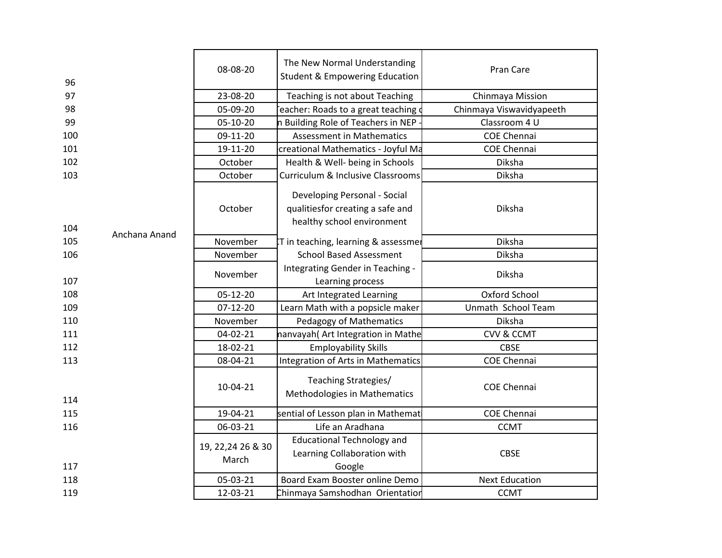| 96  |               | 08-08-20                    | The New Normal Understanding<br><b>Student &amp; Empowering Education</b>                      | Pran Care                |
|-----|---------------|-----------------------------|------------------------------------------------------------------------------------------------|--------------------------|
| 97  |               | 23-08-20                    | Teaching is not about Teaching                                                                 | Chinmaya Mission         |
| 98  |               | 05-09-20                    | eacher: Roads to a great teaching of                                                           | Chinmaya Viswavidyapeeth |
| 99  |               | 05-10-20                    | n Building Role of Teachers in NEP                                                             | Classroom 4 U            |
| 100 |               | 09-11-20                    | <b>Assessment in Mathematics</b>                                                               | <b>COE Chennai</b>       |
| 101 |               | 19-11-20                    | creational Mathematics - Joyful Ma                                                             | <b>COE Chennai</b>       |
| 102 |               | October                     | Health & Well- being in Schools                                                                | Diksha                   |
| 103 |               | October                     | Curriculum & Inclusive Classrooms                                                              | Diksha                   |
| 104 | Anchana Anand | October                     | Developing Personal - Social<br>qualitiesfor creating a safe and<br>healthy school environment | Diksha                   |
| 105 |               | November                    | IT in teaching, learning & assessmer                                                           | Diksha                   |
| 106 |               | November                    | <b>School Based Assessment</b>                                                                 | Diksha                   |
| 107 |               | November                    | Integrating Gender in Teaching -<br>Learning process                                           | Diksha                   |
| 108 |               | 05-12-20                    | Art Integrated Learning                                                                        | Oxford School            |
| 109 |               | $07-12-20$                  | Learn Math with a popsicle maker                                                               | Unmath School Team       |
| 110 |               | November                    | Pedagogy of Mathematics                                                                        | Diksha                   |
| 111 |               | 04-02-21                    | nanvayah(Art Integration in Mathe                                                              | <b>CVV &amp; CCMT</b>    |
| 112 |               | 18-02-21                    | <b>Employability Skills</b>                                                                    | <b>CBSE</b>              |
| 113 |               | 08-04-21                    | Integration of Arts in Mathematics                                                             | <b>COE Chennai</b>       |
| 114 |               | 10-04-21                    | Teaching Strategies/<br>Methodologies in Mathematics                                           | <b>COE Chennai</b>       |
| 115 |               | 19-04-21                    | sential of Lesson plan in Mathemat                                                             | <b>COE Chennai</b>       |
| 116 |               | 06-03-21                    | Life an Aradhana                                                                               | <b>CCMT</b>              |
| 117 |               | 19, 22, 24 26 & 30<br>March | <b>Educational Technology and</b><br>Learning Collaboration with<br>Google                     | <b>CBSE</b>              |
| 118 |               | 05-03-21                    | Board Exam Booster online Demo                                                                 | <b>Next Education</b>    |
| 119 |               | 12-03-21                    | Chinmaya Samshodhan Orientation                                                                | <b>CCMT</b>              |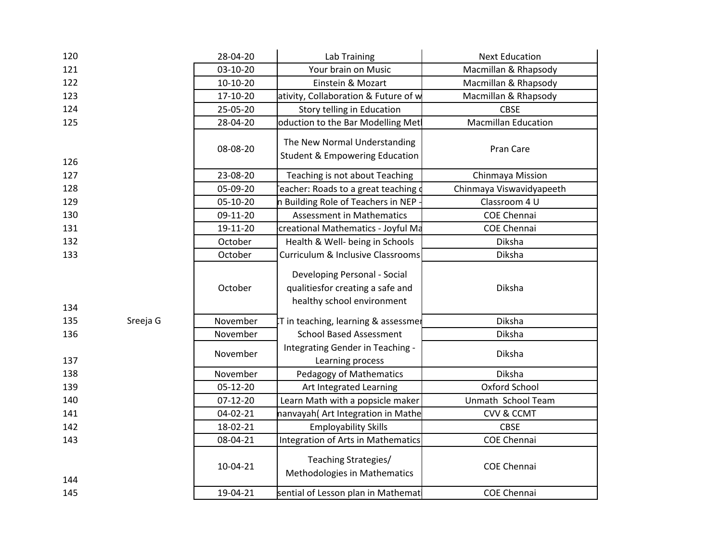| 120 |          | 28-04-20 | Lab Training                                                                                   | <b>Next Education</b>      |
|-----|----------|----------|------------------------------------------------------------------------------------------------|----------------------------|
| 121 |          | 03-10-20 | Your brain on Music                                                                            | Macmillan & Rhapsody       |
| 122 |          | 10-10-20 | Einstein & Mozart                                                                              | Macmillan & Rhapsody       |
| 123 |          | 17-10-20 | ativity, Collaboration & Future of w                                                           | Macmillan & Rhapsody       |
| 124 |          | 25-05-20 | Story telling in Education                                                                     | <b>CBSE</b>                |
| 125 |          | 28-04-20 | oduction to the Bar Modelling Met                                                              | <b>Macmillan Education</b> |
| 126 |          | 08-08-20 | The New Normal Understanding<br><b>Student &amp; Empowering Education</b>                      | Pran Care                  |
| 127 |          | 23-08-20 | Teaching is not about Teaching                                                                 | Chinmaya Mission           |
| 128 |          | 05-09-20 | eacher: Roads to a great teaching $\mathsf d$                                                  | Chinmaya Viswavidyapeeth   |
| 129 |          | 05-10-20 | n Building Role of Teachers in NEP -                                                           | Classroom 4 U              |
| 130 |          | 09-11-20 | <b>Assessment in Mathematics</b>                                                               | <b>COE Chennai</b>         |
| 131 |          | 19-11-20 | creational Mathematics - Joyful Ma                                                             | <b>COE Chennai</b>         |
| 132 |          | October  | Health & Well- being in Schools                                                                | Diksha                     |
| 133 |          | October  | Curriculum & Inclusive Classrooms                                                              | Diksha                     |
| 134 |          | October  | Developing Personal - Social<br>qualitiesfor creating a safe and<br>healthy school environment | Diksha                     |
| 135 | Sreeja G | November | T in teaching, learning & assessmer                                                            | Diksha                     |
| 136 |          | November | <b>School Based Assessment</b>                                                                 | Diksha                     |
| 137 |          | November | Integrating Gender in Teaching -<br>Learning process                                           | Diksha                     |
| 138 |          | November | Pedagogy of Mathematics                                                                        | Diksha                     |
| 139 |          | 05-12-20 | Art Integrated Learning                                                                        | Oxford School              |
| 140 |          | 07-12-20 | Learn Math with a popsicle maker                                                               | Unmath School Team         |
| 141 |          | 04-02-21 | nanvayah(Art Integration in Mathe                                                              | <b>CVV &amp; CCMT</b>      |
| 142 |          | 18-02-21 | <b>Employability Skills</b>                                                                    | <b>CBSE</b>                |
| 143 |          | 08-04-21 | Integration of Arts in Mathematics                                                             | <b>COE Chennai</b>         |
| 144 |          | 10-04-21 | Teaching Strategies/<br>Methodologies in Mathematics                                           | <b>COE Chennai</b>         |
| 145 |          | 19-04-21 | sential of Lesson plan in Mathemat                                                             | <b>COE Chennai</b>         |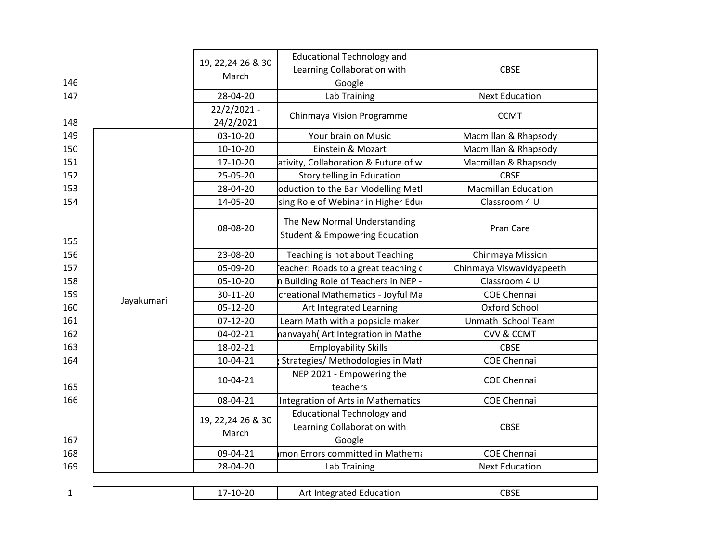| 146<br>147   |            | 19, 22, 24 26 & 30<br>March<br>28-04-20 | <b>Educational Technology and</b><br>Learning Collaboration with<br>Google<br>Lab Training | <b>CBSE</b><br><b>Next Education</b> |
|--------------|------------|-----------------------------------------|--------------------------------------------------------------------------------------------|--------------------------------------|
| 148          |            | 22/2/2021 -<br>24/2/2021                | Chinmaya Vision Programme                                                                  | <b>CCMT</b>                          |
| 149          |            | 03-10-20                                | Your brain on Music                                                                        | Macmillan & Rhapsody                 |
| 150          |            | $10-10-20$                              | Einstein & Mozart                                                                          | Macmillan & Rhapsody                 |
| 151          |            | 17-10-20                                | ativity, Collaboration & Future of w                                                       | Macmillan & Rhapsody                 |
| 152          |            | 25-05-20                                | Story telling in Education                                                                 | <b>CBSE</b>                          |
| 153          |            | 28-04-20                                | oduction to the Bar Modelling Met                                                          | <b>Macmillan Education</b>           |
| 154          |            | 14-05-20                                | ising Role of Webinar in Higher Edu                                                        | Classroom 4 U                        |
| 155          |            | 08-08-20                                | The New Normal Understanding<br><b>Student &amp; Empowering Education</b>                  | Pran Care                            |
| 156          |            | 23-08-20                                | Teaching is not about Teaching                                                             | Chinmaya Mission                     |
| 157          |            | 05-09-20                                | eacher: Roads to a great teaching of                                                       | Chinmaya Viswavidyapeeth             |
| 158          |            | 05-10-20                                | n Building Role of Teachers in NEP                                                         | Classroom 4 U                        |
| 159          | Jayakumari | 30-11-20                                | creational Mathematics - Joyful Ma                                                         | <b>COE Chennai</b>                   |
| 160          |            | 05-12-20                                | Art Integrated Learning                                                                    | Oxford School                        |
| 161          |            | 07-12-20                                | Learn Math with a popsicle maker                                                           | Unmath School Team                   |
| 162          |            | 04-02-21                                | nanvayah(Art Integration in Mathe                                                          | <b>CVV &amp; CCMT</b>                |
| 163          |            | 18-02-21                                | <b>Employability Skills</b>                                                                | <b>CBSE</b>                          |
| 164          |            | 10-04-21                                | Strategies/ Methodologies in Matl                                                          | <b>COE Chennai</b>                   |
| 165          |            | 10-04-21                                | NEP 2021 - Empowering the<br>teachers                                                      | <b>COE Chennai</b>                   |
| 166          |            | 08-04-21                                | Integration of Arts in Mathematics                                                         | <b>COE Chennai</b>                   |
| 167          |            | 19, 22, 24 26 & 30<br>March             | <b>Educational Technology and</b><br>Learning Collaboration with<br>Google                 | <b>CBSE</b>                          |
| 168          |            | 09-04-21                                | mon Errors committed in Mathem                                                             | <b>COE Chennai</b>                   |
| 169          |            | 28-04-20                                | Lab Training                                                                               | <b>Next Education</b>                |
|              |            |                                         |                                                                                            |                                      |
| $\mathbf{1}$ |            | 17-10-20                                | Art Integrated Education                                                                   | <b>CBSE</b>                          |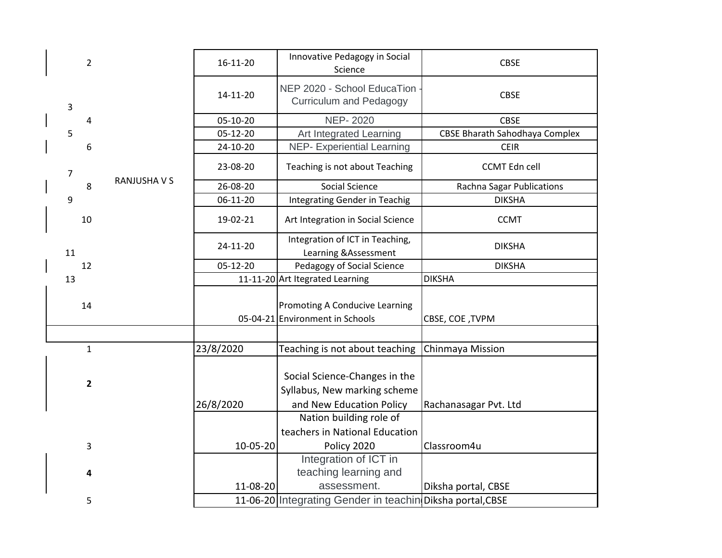|                | $\overline{2}$          |                   | 16-11-20  | Innovative Pedagogy in Social<br>Science                                                  | <b>CBSE</b>                           |
|----------------|-------------------------|-------------------|-----------|-------------------------------------------------------------------------------------------|---------------------------------------|
| $\mathbf{3}$   |                         |                   | 14-11-20  | NEP 2020 - School EducaTion<br><b>Curriculum and Pedagogy</b>                             | <b>CBSE</b>                           |
|                | $\overline{4}$          |                   | 05-10-20  | <b>NEP-2020</b>                                                                           | <b>CBSE</b>                           |
| 5              |                         |                   | 05-12-20  | Art Integrated Learning                                                                   | <b>CBSE Bharath Sahodhaya Complex</b> |
|                | 6                       |                   | 24-10-20  | <b>NEP- Experiential Learning</b>                                                         | <b>CEIR</b>                           |
| $\overline{7}$ |                         | <b>RANJUSHAVS</b> | 23-08-20  | Teaching is not about Teaching                                                            | <b>CCMT Edn cell</b>                  |
|                | 8                       |                   | 26-08-20  | Social Science                                                                            | Rachna Sagar Publications             |
| 9              |                         |                   | 06-11-20  | Integrating Gender in Teachig                                                             | <b>DIKSHA</b>                         |
|                | 10                      |                   | 19-02-21  | Art Integration in Social Science                                                         | <b>CCMT</b>                           |
| 11             |                         |                   | 24-11-20  | Integration of ICT in Teaching,<br>Learning & Assessment                                  | <b>DIKSHA</b>                         |
|                | 12                      |                   | 05-12-20  | Pedagogy of Social Science                                                                | <b>DIKSHA</b>                         |
| 13             |                         |                   |           | 11-11-20 Art Itegrated Learning                                                           | <b>DIKSHA</b>                         |
|                | 14                      |                   |           | <b>Promoting A Conducive Learning</b><br>05-04-21 Environment in Schools                  | CBSE, COE, TVPM                       |
|                |                         |                   |           |                                                                                           |                                       |
|                | $\mathbf{1}$            |                   | 23/8/2020 | Teaching is not about teaching                                                            | Chinmaya Mission                      |
|                | $\overline{\mathbf{2}}$ |                   | 26/8/2020 | Social Science-Changes in the<br>Syllabus, New marking scheme<br>and New Education Policy | Rachanasagar Pvt. Ltd                 |
|                |                         |                   |           | Nation building role of                                                                   |                                       |
|                |                         |                   |           | teachers in National Education                                                            |                                       |
|                | 3                       |                   | 10-05-20  | Policy 2020                                                                               | Classroom4u                           |
|                | 4                       |                   | 11-08-20  | Integration of ICT in<br>teaching learning and<br>assessment.                             | Diksha portal, CBSE                   |
|                | 5                       |                   |           | 11-06-20 Integrating Gender in teachin Diksha portal, CBSE                                |                                       |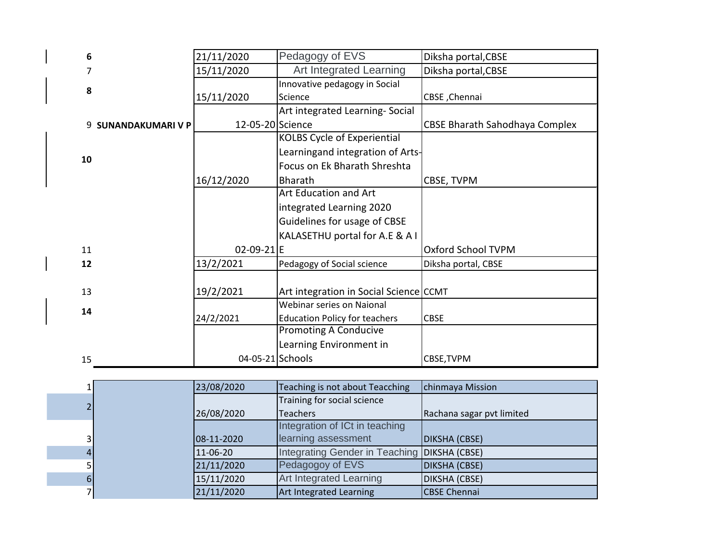| 6  |                          | 21/11/2020       | Pedagogy of EVS                        | Diksha portal, CBSE            |
|----|--------------------------|------------------|----------------------------------------|--------------------------------|
|    |                          | 15/11/2020       | Art Integrated Learning                | Diksha portal, CBSE            |
| 8  |                          |                  | Innovative pedagogy in Social          |                                |
|    |                          | 15/11/2020       | Science                                | CBSE, Chennai                  |
|    |                          |                  | Art integrated Learning-Social         |                                |
| 9  | <b>SUNANDAKUMARI V P</b> | 12-05-20 Science |                                        | CBSE Bharath Sahodhaya Complex |
|    |                          |                  | <b>KOLBS Cycle of Experiential</b>     |                                |
| 10 |                          |                  | Learningand integration of Arts-       |                                |
|    |                          |                  | Focus on Ek Bharath Shreshta           |                                |
|    |                          | 16/12/2020       | <b>Bharath</b>                         | CBSE, TVPM                     |
|    |                          |                  | Art Education and Art                  |                                |
|    |                          |                  | integrated Learning 2020               |                                |
|    |                          |                  | Guidelines for usage of CBSE           |                                |
|    |                          |                  | KALASETHU portal for A.E & A I         |                                |
| 11 |                          | 02-09-21 E       |                                        | Oxford School TVPM             |
| 12 |                          | 13/2/2021        | Pedagogy of Social science             | Diksha portal, CBSE            |
|    |                          |                  |                                        |                                |
| 13 |                          | 19/2/2021        | Art integration in Social Science CCMT |                                |
| 14 |                          |                  | Webinar series on Naional              |                                |
|    |                          | 24/2/2021        | <b>Education Policy for teachers</b>   | <b>CBSE</b>                    |
|    |                          |                  | <b>Promoting A Conducive</b>           |                                |
|    |                          |                  | Learning Environment in                |                                |
| 15 |                          | 04-05-21 Schools |                                        | CBSE, TVPM                     |

|  | 23/08/2020 | Teaching is not about Teacching              | chinmaya Mission          |
|--|------------|----------------------------------------------|---------------------------|
|  |            | Training for social science                  |                           |
|  | 26/08/2020 | <b>Teachers</b>                              | Rachana sagar pvt limited |
|  |            | Integration of ICt in teaching               |                           |
|  | 08-11-2020 | learning assessment                          | DIKSHA (CBSE)             |
|  | 11-06-20   | Integrating Gender in Teaching DIKSHA (CBSE) |                           |
|  | 21/11/2020 | Pedagogoy of EVS                             | <b>DIKSHA (CBSE)</b>      |
|  | 15/11/2020 | Art Integrated Learning                      | <b>DIKSHA (CBSE)</b>      |
|  | 21/11/2020 | Art Integrated Learning                      | <b>CBSE Chennai</b>       |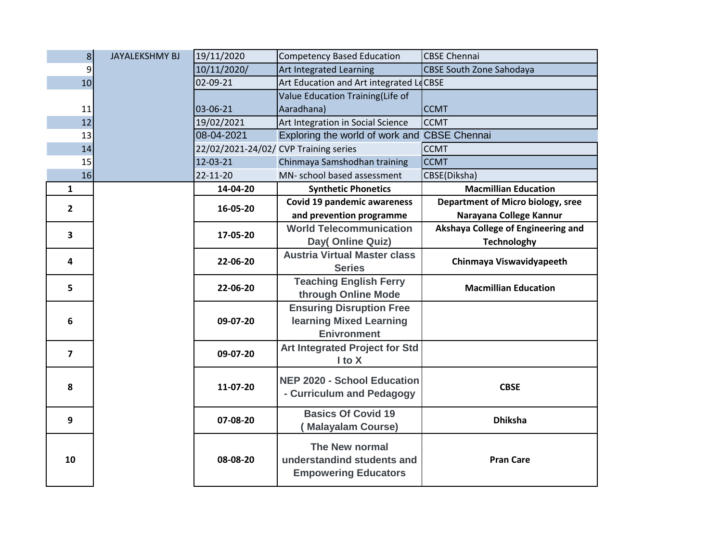| $\mathbf{8}$            | <b>JAYALEKSHMY BJ</b> | 19/11/2020                            | <b>Competency Based Education</b>                                           | <b>CBSE Chennai</b>                      |
|-------------------------|-----------------------|---------------------------------------|-----------------------------------------------------------------------------|------------------------------------------|
| 9                       |                       | 10/11/2020/                           | Art Integrated Learning                                                     | <b>CBSE South Zone Sahodaya</b>          |
| 10                      |                       | 02-09-21                              | Art Education and Art integrated LeCBSE                                     |                                          |
|                         |                       |                                       | Value Education Training(Life of                                            |                                          |
| 11                      |                       | 03-06-21                              | Aaradhana)                                                                  | <b>CCMT</b>                              |
| 12                      |                       | 19/02/2021                            | Art Integration in Social Science                                           | <b>CCMT</b>                              |
| 13                      |                       | 08-04-2021                            | Exploring the world of work and CBSE Chennai                                |                                          |
| 14                      |                       | 22/02/2021-24/02/ CVP Training series |                                                                             | <b>CCMT</b>                              |
| 15                      |                       | 12-03-21                              | Chinmaya Samshodhan training                                                | <b>CCMT</b>                              |
| 16                      |                       | $22 - 11 - 20$                        | MN- school based assessment                                                 | CBSE(Diksha)                             |
| $\mathbf{1}$            |                       | 14-04-20                              | <b>Synthetic Phonetics</b>                                                  | <b>Macmillian Education</b>              |
| $\overline{2}$          |                       | 16-05-20                              | Covid 19 pandemic awareness                                                 | <b>Department of Micro biology, sree</b> |
|                         |                       |                                       | and prevention programme                                                    | Narayana College Kannur                  |
| 3                       |                       | 17-05-20                              | <b>World Telecommunication</b>                                              | Akshaya College of Engineering and       |
|                         |                       |                                       | Day(Online Quiz)                                                            | <b>Technologhy</b>                       |
| 4                       |                       | 22-06-20                              | <b>Austria Virtual Master class</b>                                         | Chinmaya Viswavidyapeeth                 |
|                         |                       |                                       | <b>Series</b>                                                               |                                          |
| 5                       |                       | 22-06-20                              | <b>Teaching English Ferry</b>                                               | <b>Macmillian Education</b>              |
|                         |                       |                                       | through Online Mode                                                         |                                          |
|                         |                       |                                       | <b>Ensuring Disruption Free</b>                                             |                                          |
| 6                       |                       | 09-07-20                              | learning Mixed Learning                                                     |                                          |
|                         |                       |                                       | <b>Enivronment</b>                                                          |                                          |
| $\overline{\mathbf{z}}$ |                       | 09-07-20                              | <b>Art Integrated Project for Std</b>                                       |                                          |
|                         |                       |                                       | I to X                                                                      |                                          |
|                         |                       |                                       | <b>NEP 2020 - School Education</b>                                          |                                          |
| 8                       |                       | 11-07-20                              | - Curriculum and Pedagogy                                                   | <b>CBSE</b>                              |
| 9                       |                       | 07-08-20                              | <b>Basics Of Covid 19</b>                                                   | <b>Dhiksha</b>                           |
|                         |                       |                                       | <b>Malayalam Course)</b>                                                    |                                          |
| 10                      |                       | 08-08-20                              | The New normal<br>understandind students and<br><b>Empowering Educators</b> | <b>Pran Care</b>                         |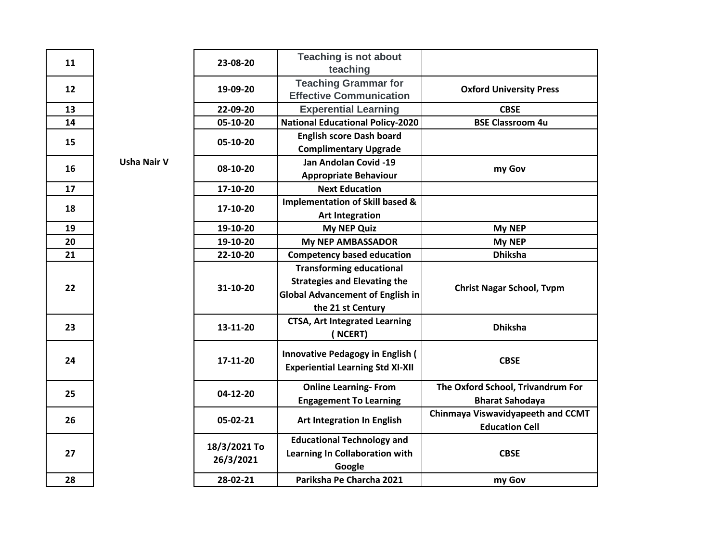| 11 |                    | 23-08-20                  | <b>Teaching is not about</b><br>teaching                                                                                               |                                                             |
|----|--------------------|---------------------------|----------------------------------------------------------------------------------------------------------------------------------------|-------------------------------------------------------------|
| 12 |                    | 19-09-20                  | <b>Teaching Grammar for</b><br><b>Effective Communication</b>                                                                          | <b>Oxford University Press</b>                              |
| 13 |                    | 22-09-20                  | <b>Experential Learning</b>                                                                                                            | <b>CBSE</b>                                                 |
| 14 |                    | 05-10-20                  | <b>National Educational Policy-2020</b>                                                                                                | <b>BSE Classroom 4u</b>                                     |
| 15 |                    | 05-10-20                  | <b>English score Dash board</b><br><b>Complimentary Upgrade</b>                                                                        |                                                             |
| 16 | <b>Usha Nair V</b> | 08-10-20                  | Jan Andolan Covid -19<br><b>Appropriate Behaviour</b>                                                                                  | my Gov                                                      |
| 17 |                    | 17-10-20                  | <b>Next Education</b>                                                                                                                  |                                                             |
| 18 |                    | 17-10-20                  | Implementation of Skill based &<br><b>Art Integration</b>                                                                              |                                                             |
| 19 |                    | 19-10-20                  | <b>My NEP Quiz</b>                                                                                                                     | My NEP                                                      |
| 20 |                    | 19-10-20                  | <b>My NEP AMBASSADOR</b>                                                                                                               | My NEP                                                      |
| 21 |                    | 22-10-20                  | <b>Competency based education</b>                                                                                                      | <b>Dhiksha</b>                                              |
| 22 |                    | 31-10-20                  | <b>Transforming educational</b><br><b>Strategies and Elevating the</b><br><b>Global Advancement of English in</b><br>the 21 st Century | <b>Christ Nagar School, Tvpm</b>                            |
| 23 |                    | 13-11-20                  | <b>CTSA, Art Integrated Learning</b><br>(NCERT)                                                                                        | <b>Dhiksha</b>                                              |
| 24 |                    | 17-11-20                  | <b>Innovative Pedagogy in English (</b><br><b>Experiential Learning Std XI-XII</b>                                                     | <b>CBSE</b>                                                 |
| 25 |                    | 04-12-20                  | <b>Online Learning-From</b><br><b>Engagement To Learning</b>                                                                           | The Oxford School, Trivandrum For<br><b>Bharat Sahodaya</b> |
| 26 |                    | 05-02-21                  | Art Integration In English                                                                                                             | Chinmaya Viswavidyapeeth and CCMT<br><b>Education Cell</b>  |
| 27 |                    | 18/3/2021 To<br>26/3/2021 | <b>Educational Technology and</b><br>Learning In Collaboration with<br>Google                                                          | <b>CBSE</b>                                                 |
| 28 |                    | 28-02-21                  | Pariksha Pe Charcha 2021                                                                                                               | my Gov                                                      |

**27**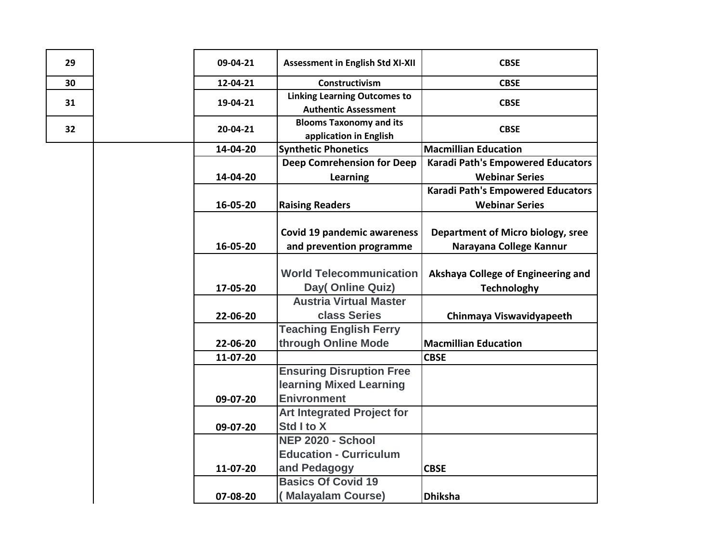| 29 | 09-04-21 | <b>Assessment in English Std XI-XII</b>                            | <b>CBSE</b>                                              |
|----|----------|--------------------------------------------------------------------|----------------------------------------------------------|
| 30 | 12-04-21 | Constructivism                                                     | <b>CBSE</b>                                              |
| 31 | 19-04-21 | <b>Linking Learning Outcomes to</b><br><b>Authentic Assessment</b> | <b>CBSE</b>                                              |
| 32 | 20-04-21 | <b>Blooms Taxonomy and its</b><br>application in English           | <b>CBSE</b>                                              |
|    | 14-04-20 | <b>Synthetic Phonetics</b>                                         | <b>Macmillian Education</b>                              |
|    |          | <b>Deep Comrehension for Deep</b>                                  | <b>Karadi Path's Empowered Educators</b>                 |
|    | 14-04-20 | <b>Learning</b>                                                    | <b>Webinar Series</b>                                    |
|    |          |                                                                    | <b>Karadi Path's Empowered Educators</b>                 |
|    | 16-05-20 | <b>Raising Readers</b>                                             | <b>Webinar Series</b>                                    |
|    |          | <b>Covid 19 pandemic awareness</b>                                 | Department of Micro biology, sree                        |
|    | 16-05-20 | and prevention programme                                           | Narayana College Kannur                                  |
|    | 17-05-20 | <b>World Telecommunication</b><br>Day(Online Quiz)                 | Akshaya College of Engineering and<br><b>Technologhy</b> |
|    |          | <b>Austria Virtual Master</b>                                      |                                                          |
|    | 22-06-20 | class Series                                                       | Chinmaya Viswavidyapeeth                                 |
|    | 22-06-20 | <b>Teaching English Ferry</b><br>through Online Mode               | <b>Macmillian Education</b>                              |
|    | 11-07-20 |                                                                    | <b>CBSE</b>                                              |
|    |          | <b>Ensuring Disruption Free</b><br>learning Mixed Learning         |                                                          |
|    | 09-07-20 | <b>Enivronment</b>                                                 |                                                          |
|    |          | <b>Art Integrated Project for</b>                                  |                                                          |
|    | 09-07-20 | Std I to X                                                         |                                                          |
|    |          | NEP 2020 - School                                                  |                                                          |
|    |          | <b>Education - Curriculum</b>                                      |                                                          |
|    | 11-07-20 | and Pedagogy                                                       | <b>CBSE</b>                                              |
|    |          | <b>Basics Of Covid 19</b>                                          |                                                          |
|    | 07-08-20 | (Malayalam Course)                                                 | <b>Dhiksha</b>                                           |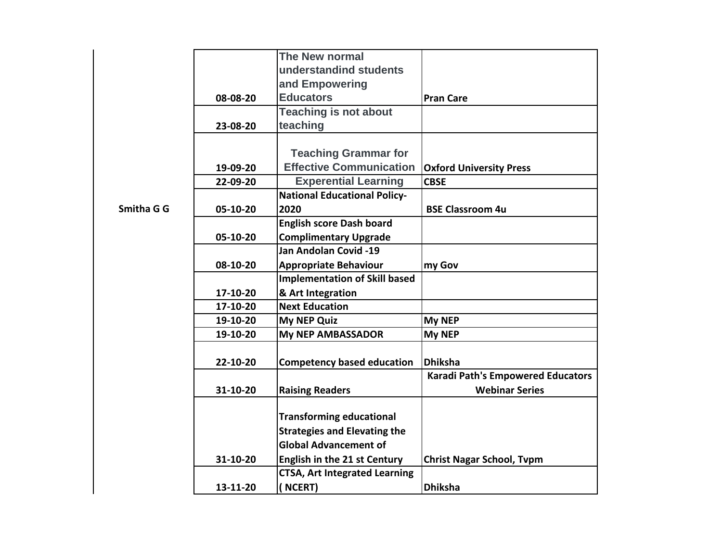|            |          | The New normal                       |                                          |
|------------|----------|--------------------------------------|------------------------------------------|
|            |          | understandind students               |                                          |
|            |          | and Empowering                       |                                          |
|            | 08-08-20 | <b>Educators</b>                     | <b>Pran Care</b>                         |
|            |          | <b>Teaching is not about</b>         |                                          |
|            | 23-08-20 | teaching                             |                                          |
|            |          |                                      |                                          |
|            |          | <b>Teaching Grammar for</b>          |                                          |
|            | 19-09-20 | <b>Effective Communication</b>       | <b>Oxford University Press</b>           |
|            | 22-09-20 | <b>Experential Learning</b>          | <b>CBSE</b>                              |
|            |          | <b>National Educational Policy-</b>  |                                          |
| Smitha G G | 05-10-20 | 2020                                 | <b>BSE Classroom 4u</b>                  |
|            |          | <b>English score Dash board</b>      |                                          |
|            | 05-10-20 | <b>Complimentary Upgrade</b>         |                                          |
|            |          | Jan Andolan Covid -19                |                                          |
|            | 08-10-20 | <b>Appropriate Behaviour</b>         | my Gov                                   |
|            |          | <b>Implementation of Skill based</b> |                                          |
|            | 17-10-20 | & Art Integration                    |                                          |
|            | 17-10-20 | <b>Next Education</b>                |                                          |
|            | 19-10-20 | <b>My NEP Quiz</b>                   | <b>My NEP</b>                            |
|            | 19-10-20 | <b>My NEP AMBASSADOR</b>             | My NEP                                   |
|            |          |                                      |                                          |
|            | 22-10-20 | <b>Competency based education</b>    | <b>Dhiksha</b>                           |
|            |          |                                      | <b>Karadi Path's Empowered Educators</b> |
|            | 31-10-20 | <b>Raising Readers</b>               | <b>Webinar Series</b>                    |
|            |          |                                      |                                          |
|            |          | <b>Transforming educational</b>      |                                          |
|            |          | <b>Strategies and Elevating the</b>  |                                          |
|            |          | <b>Global Advancement of</b>         |                                          |
|            | 31-10-20 | English in the 21 st Century         | <b>Christ Nagar School, Tvpm</b>         |
|            |          | <b>CTSA, Art Integrated Learning</b> |                                          |
|            | 13-11-20 | (NCERT)                              | <b>Dhiksha</b>                           |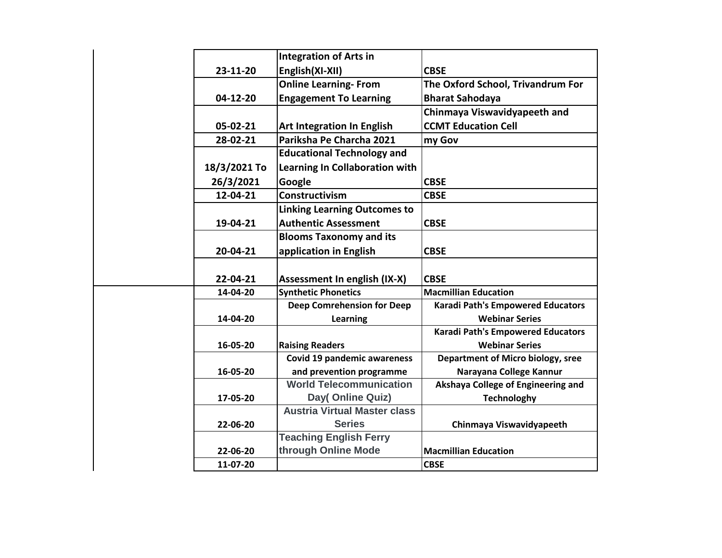|              | <b>Integration of Arts in</b>                           |                                          |
|--------------|---------------------------------------------------------|------------------------------------------|
| 23-11-20     | English(XI-XII)                                         | <b>CBSE</b>                              |
|              | <b>Online Learning-From</b>                             | The Oxford School, Trivandrum For        |
| 04-12-20     | <b>Engagement To Learning</b>                           | <b>Bharat Sahodaya</b>                   |
|              |                                                         | Chinmaya Viswavidyapeeth and             |
| 05-02-21     | <b>Art Integration In English</b>                       | <b>CCMT Education Cell</b>               |
| 28-02-21     | Pariksha Pe Charcha 2021                                | my Gov                                   |
|              | <b>Educational Technology and</b>                       |                                          |
| 18/3/2021 To | Learning In Collaboration with                          |                                          |
| 26/3/2021    | Google                                                  | <b>CBSE</b>                              |
| 12-04-21     | Constructivism                                          | <b>CBSE</b>                              |
|              | <b>Linking Learning Outcomes to</b>                     |                                          |
| 19-04-21     | <b>Authentic Assessment</b>                             | <b>CBSE</b>                              |
|              | <b>Blooms Taxonomy and its</b>                          |                                          |
| 20-04-21     | application in English                                  | <b>CBSE</b>                              |
|              |                                                         |                                          |
| 22-04-21     | <b>Assessment In english (IX-X)</b>                     | <b>CBSE</b>                              |
| 14-04-20     | <b>Synthetic Phonetics</b>                              | <b>Macmillian Education</b>              |
|              | <b>Deep Comrehension for Deep</b>                       | <b>Karadi Path's Empowered Educators</b> |
| 14-04-20     | Learning                                                | <b>Webinar Series</b>                    |
|              |                                                         | <b>Karadi Path's Empowered Educators</b> |
| 16-05-20     | <b>Raising Readers</b>                                  | <b>Webinar Series</b>                    |
|              | <b>Covid 19 pandemic awareness</b>                      | Department of Micro biology, sree        |
| 16-05-20     | and prevention programme                                | Narayana College Kannur                  |
|              | <b>World Telecommunication</b>                          | Akshaya College of Engineering and       |
| 17-05-20     | Day(Online Quiz)<br><b>Austria Virtual Master class</b> | <b>Technologhy</b>                       |
|              | <b>Series</b>                                           |                                          |
| 22-06-20     | <b>Teaching English Ferry</b>                           | Chinmaya Viswavidyapeeth                 |
| 22-06-20     | through Online Mode                                     | <b>Macmillian Education</b>              |
| 11-07-20     |                                                         | <b>CBSE</b>                              |
|              |                                                         |                                          |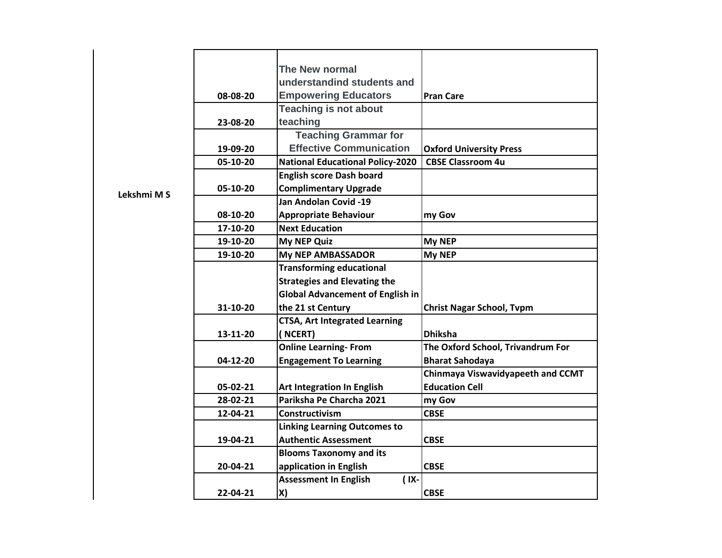|             |          | The New normal                          |                                          |
|-------------|----------|-----------------------------------------|------------------------------------------|
|             |          | understandind students and              |                                          |
|             | 08-08-20 | <b>Empowering Educators</b>             | <b>Pran Care</b>                         |
|             |          | <b>Teaching is not about</b>            |                                          |
|             | 23-08-20 | teaching                                |                                          |
|             |          | <b>Teaching Grammar for</b>             |                                          |
|             |          | <b>Effective Communication</b>          |                                          |
|             | 19-09-20 |                                         | <b>Oxford University Press</b>           |
|             | 05-10-20 | <b>National Educational Policy-2020</b> | <b>CBSE Classroom 4u</b>                 |
|             |          | <b>English score Dash board</b>         |                                          |
| Lekshmi M S | 05-10-20 | <b>Complimentary Upgrade</b>            |                                          |
|             |          | Jan Andolan Covid -19                   |                                          |
|             | 08-10-20 | <b>Appropriate Behaviour</b>            | my Gov                                   |
|             | 17-10-20 | <b>Next Education</b>                   |                                          |
|             | 19-10-20 | <b>My NEP Quiz</b>                      | <b>My NEP</b>                            |
|             | 19-10-20 | <b>My NEP AMBASSADOR</b>                | My NEP                                   |
|             |          | <b>Transforming educational</b>         |                                          |
|             |          | <b>Strategies and Elevating the</b>     |                                          |
|             |          | <b>Global Advancement of English in</b> |                                          |
|             | 31-10-20 | the 21 st Century                       | <b>Christ Nagar School, Tvpm</b>         |
|             |          | <b>CTSA, Art Integrated Learning</b>    |                                          |
|             | 13-11-20 | (NCERT)                                 | <b>Dhiksha</b>                           |
|             |          | <b>Online Learning-From</b>             | The Oxford School, Trivandrum For        |
|             | 04-12-20 | <b>Engagement To Learning</b>           | <b>Bharat Sahodaya</b>                   |
|             |          |                                         | <b>Chinmaya Viswavidyapeeth and CCMT</b> |
|             | 05-02-21 | <b>Art Integration In English</b>       | <b>Education Cell</b>                    |
|             | 28-02-21 | Pariksha Pe Charcha 2021                | my Gov                                   |
|             | 12-04-21 | <b>Constructivism</b>                   | <b>CBSE</b>                              |
|             |          | <b>Linking Learning Outcomes to</b>     |                                          |
|             | 19-04-21 | <b>Authentic Assessment</b>             | <b>CBSE</b>                              |
|             |          |                                         |                                          |
|             |          | <b>Blooms Taxonomy and its</b>          |                                          |
|             | 20-04-21 | application in English                  | <b>CBSE</b>                              |
|             |          | <b>Assessment In English</b><br>$(1X -$ |                                          |
|             | 22-04-21 | X)                                      | <b>CBSE</b>                              |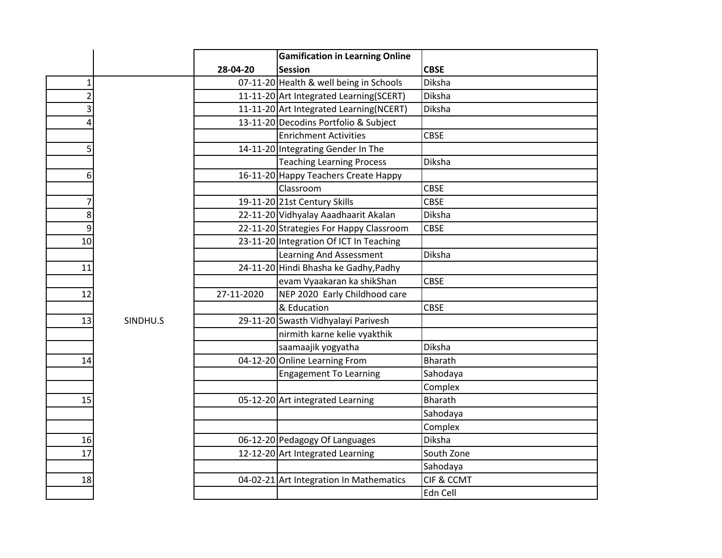|                |          |            | <b>Gamification in Learning Online</b>   |                       |
|----------------|----------|------------|------------------------------------------|-----------------------|
|                |          | 28-04-20   | <b>Session</b>                           | <b>CBSE</b>           |
| $\mathbf{1}$   |          |            | 07-11-20 Health & well being in Schools  | Diksha                |
| $\overline{2}$ |          |            | 11-11-20 Art Integrated Learning (SCERT) | Diksha                |
| 3              |          |            | 11-11-20 Art Integrated Learning(NCERT)  | Diksha                |
| 4              |          |            | 13-11-20 Decodins Portfolio & Subject    |                       |
|                |          |            | <b>Enrichment Activities</b>             | <b>CBSE</b>           |
| 5              |          |            | 14-11-20 Integrating Gender In The       |                       |
|                |          |            | <b>Teaching Learning Process</b>         | Diksha                |
| 6              |          |            | 16-11-20 Happy Teachers Create Happy     |                       |
|                |          |            | Classroom                                | <b>CBSE</b>           |
|                |          |            | 19-11-20 21st Century Skills             | <b>CBSE</b>           |
| 8              |          |            | 22-11-20 Vidhyalay Aaadhaarit Akalan     | Diksha                |
| 9              |          |            | 22-11-20 Strategies For Happy Classroom  | <b>CBSE</b>           |
| 10             |          |            | 23-11-20 Integration Of ICT In Teaching  |                       |
|                |          |            | Learning And Assessment                  | Diksha                |
| 11             |          |            | 24-11-20 Hindi Bhasha ke Gadhy, Padhy    |                       |
|                |          |            | evam Vyaakaran ka shikShan               | <b>CBSE</b>           |
| 12             |          | 27-11-2020 | NEP 2020 Early Childhood care            |                       |
|                |          |            | & Education                              | <b>CBSE</b>           |
| 13             | SINDHU.S |            | 29-11-20 Swasth Vidhyalayi Parivesh      |                       |
|                |          |            | nirmith karne kelie vyakthik             |                       |
|                |          |            | saamaajik yogyatha                       | Diksha                |
| 14             |          |            | 04-12-20 Online Learning From            | <b>Bharath</b>        |
|                |          |            | <b>Engagement To Learning</b>            | Sahodaya              |
|                |          |            |                                          | Complex               |
| 15             |          |            | 05-12-20 Art integrated Learning         | <b>Bharath</b>        |
|                |          |            |                                          | Sahodaya              |
|                |          |            |                                          | Complex               |
| 16             |          |            | 06-12-20 Pedagogy Of Languages           | Diksha                |
| 17             |          |            | 12-12-20 Art Integrated Learning         | South Zone            |
|                |          |            |                                          | Sahodaya              |
| 18             |          |            | 04-02-21 Art Integration In Mathematics  | <b>CIF &amp; CCMT</b> |
|                |          |            |                                          | Edn Cell              |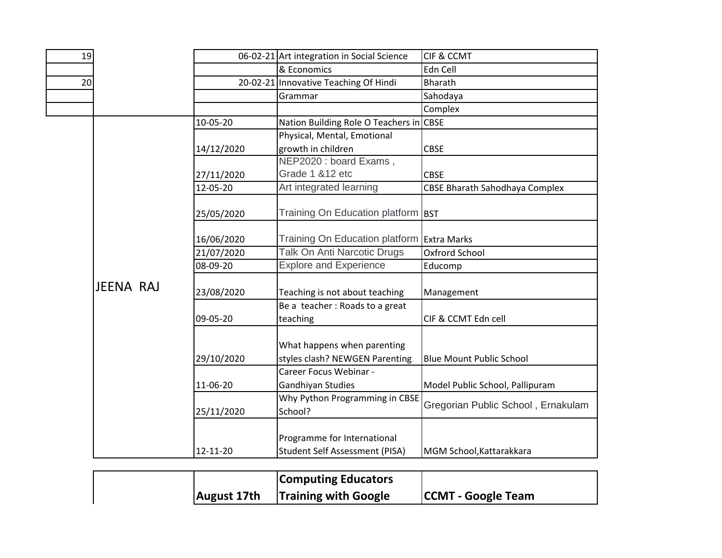| 19 |           |            | 06-02-21 Art integration in Social Science | CIF & CCMT                            |
|----|-----------|------------|--------------------------------------------|---------------------------------------|
|    |           |            | & Economics                                | Edn Cell                              |
| 20 |           |            | 20-02-21 Innovative Teaching Of Hindi      | Bharath                               |
|    |           |            | Grammar                                    | Sahodaya                              |
|    |           |            |                                            | Complex                               |
|    |           | 10-05-20   | Nation Building Role O Teachers in         | <b>CBSE</b>                           |
|    |           |            | Physical, Mental, Emotional                |                                       |
|    |           | 14/12/2020 | growth in children                         | <b>CBSE</b>                           |
|    |           |            | NEP2020 : board Exams,                     |                                       |
|    |           | 27/11/2020 | Grade 1 & 12 etc                           | <b>CBSE</b>                           |
|    |           | 12-05-20   | Art integrated learning                    | <b>CBSE Bharath Sahodhaya Complex</b> |
|    |           |            | Training On Education platform             |                                       |
|    |           | 25/05/2020 |                                            | <b>BST</b>                            |
|    |           | 16/06/2020 | Training On Education platform             | <b>Extra Marks</b>                    |
|    |           | 21/07/2020 | <b>Talk On Anti Narcotic Drugs</b>         | Oxfrord School                        |
|    |           | 08-09-20   | <b>Explore and Experience</b>              | Educomp                               |
|    | JEENA RAJ |            |                                            |                                       |
|    |           | 23/08/2020 | Teaching is not about teaching             | Management                            |
|    |           |            | Be a teacher: Roads to a great             |                                       |
|    |           | 09-05-20   | teaching                                   | CIF & CCMT Edn cell                   |
|    |           |            |                                            |                                       |
|    |           |            | What happens when parenting                |                                       |
|    |           | 29/10/2020 | styles clash? NEWGEN Parenting             | <b>Blue Mount Public School</b>       |
|    |           |            | Career Focus Webinar -                     |                                       |
|    |           | 11-06-20   | Gandhiyan Studies                          | Model Public School, Pallipuram       |
|    |           |            | Why Python Programming in CBSE             | Gregorian Public School, Ernakulam    |
|    |           | 25/11/2020 | School?                                    |                                       |
|    |           |            |                                            |                                       |
|    |           |            | Programme for International                |                                       |
|    |           | 12-11-20   | <b>Student Self Assessment (PISA)</b>      | MGM School, Kattarakkara              |

| <b>Computing Educators</b>              |                           |
|-----------------------------------------|---------------------------|
| <b>August 17th Training with Google</b> | <b>CCMT - Google Team</b> |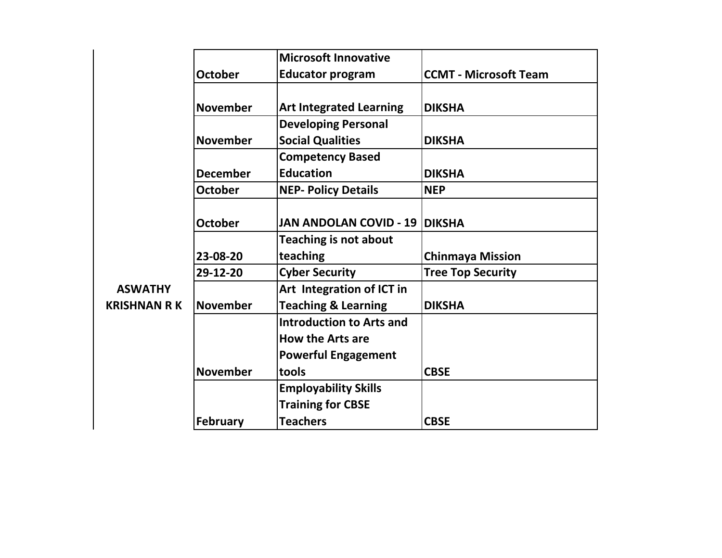|                     |                 | <b>Microsoft Innovative</b>          |                              |
|---------------------|-----------------|--------------------------------------|------------------------------|
|                     | <b>October</b>  | <b>Educator program</b>              | <b>CCMT - Microsoft Team</b> |
|                     |                 |                                      |                              |
|                     | <b>November</b> | <b>Art Integrated Learning</b>       | <b>DIKSHA</b>                |
|                     |                 | <b>Developing Personal</b>           |                              |
|                     | <b>November</b> | <b>Social Qualities</b>              | <b>DIKSHA</b>                |
|                     |                 | <b>Competency Based</b>              |                              |
|                     | <b>December</b> | <b>Education</b>                     | <b>DIKSHA</b>                |
|                     | <b>October</b>  | <b>NEP- Policy Details</b>           | <b>NEP</b>                   |
|                     |                 |                                      |                              |
|                     | <b>October</b>  | <b>JAN ANDOLAN COVID - 19 DIKSHA</b> |                              |
|                     |                 | <b>Teaching is not about</b>         |                              |
|                     | 23-08-20        | teaching                             | <b>Chinmaya Mission</b>      |
|                     | 29-12-20        | <b>Cyber Security</b>                | <b>Tree Top Security</b>     |
| <b>ASWATHY</b>      |                 | Art Integration of ICT in            |                              |
| <b>KRISHNAN R K</b> | <b>November</b> | <b>Teaching &amp; Learning</b>       | <b>DIKSHA</b>                |
|                     |                 | <b>Introduction to Arts and</b>      |                              |
|                     |                 | <b>How the Arts are</b>              |                              |
|                     |                 | <b>Powerful Engagement</b>           |                              |
|                     | <b>November</b> | tools                                | <b>CBSE</b>                  |
|                     |                 | <b>Employability Skills</b>          |                              |
|                     |                 | <b>Training for CBSE</b>             |                              |
|                     | <b>February</b> | <b>Teachers</b>                      | <b>CBSE</b>                  |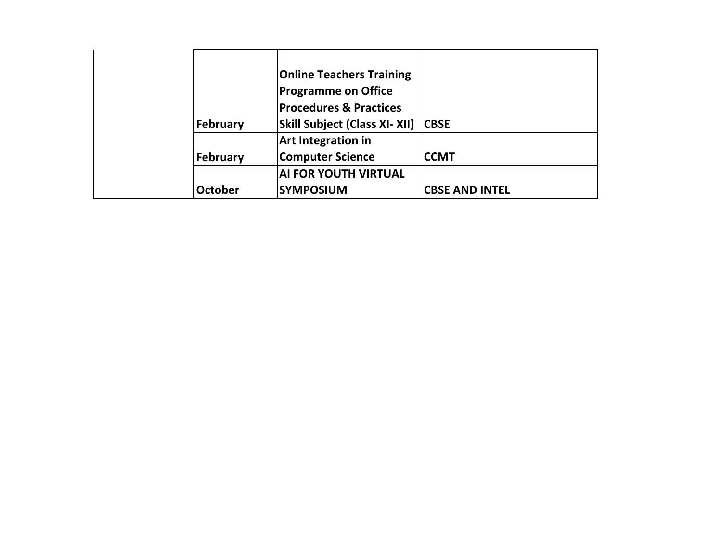|                | <b>Online Teachers Training</b>      |                       |
|----------------|--------------------------------------|-----------------------|
|                | <b>Programme on Office</b>           |                       |
|                | <b>Procedures &amp; Practices</b>    |                       |
| February       | <b>Skill Subject (Class XI- XII)</b> | <b>CBSE</b>           |
|                | <b>Art Integration in</b>            |                       |
| February       | <b>Computer Science</b>              | <b>CCMT</b>           |
|                | <b>AI FOR YOUTH VIRTUAL</b>          |                       |
| <b>October</b> | <b>SYMPOSIUM</b>                     | <b>CBSE AND INTEL</b> |